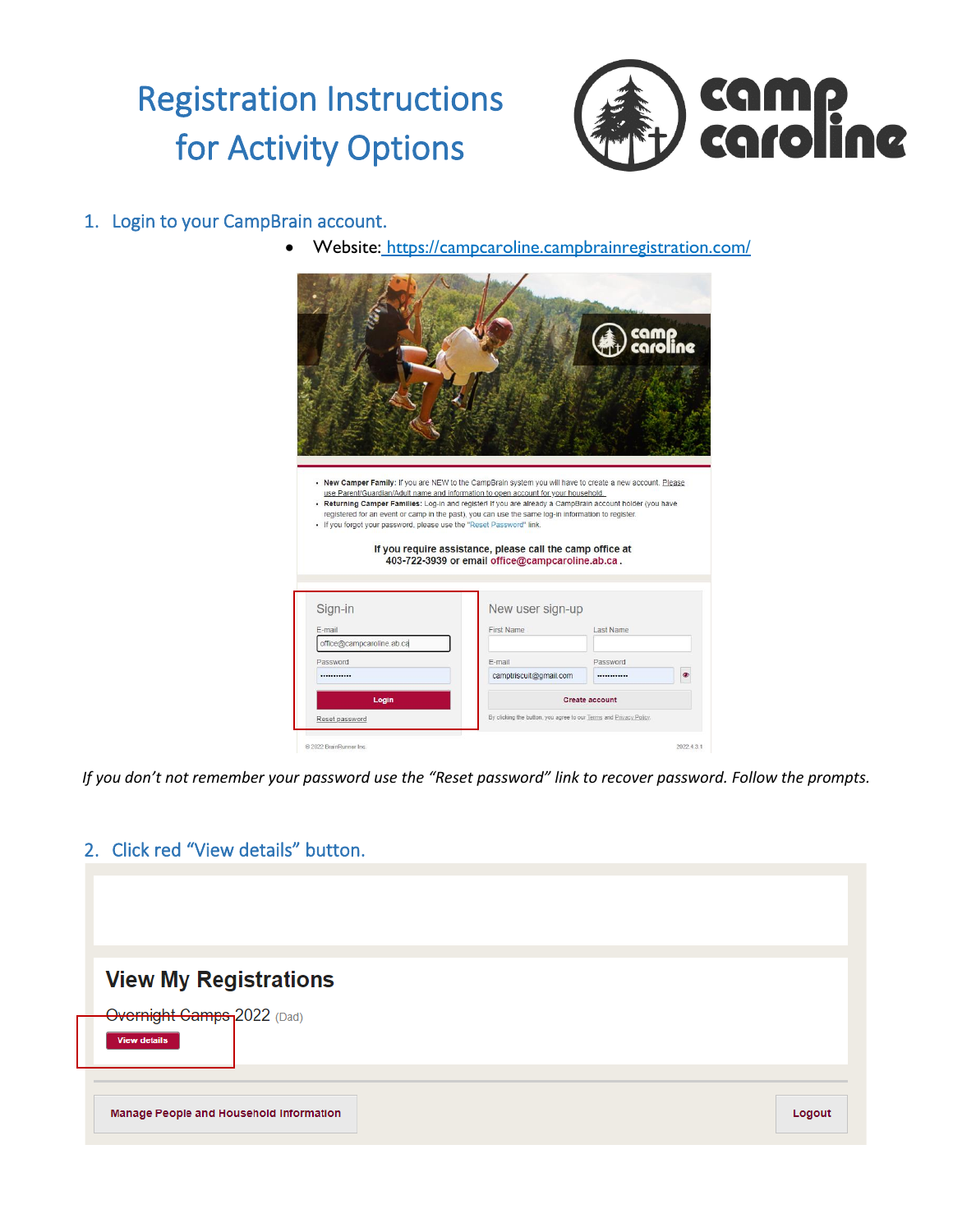# Registration Instructions for Activity Options



### 1. Login to your CampBrain account.

• Website: <https://campcaroline.campbrainregistration.com/>



*If you don't not remember your password use the "Reset password" link to recover password. Follow the prompts.*

### 2. Click red "View details" button.

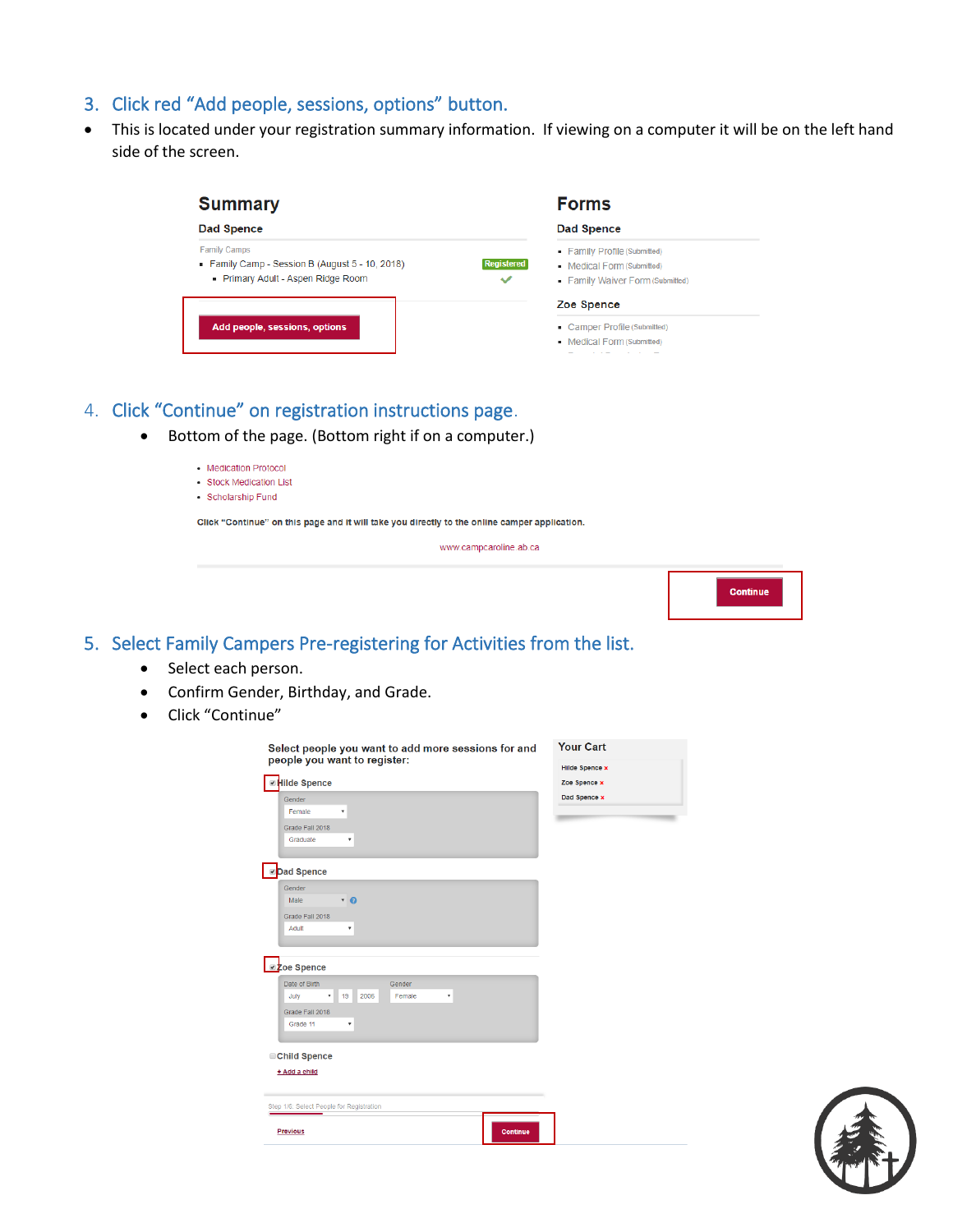### 3. Click red "Add people, sessions, options" button.

• This is located under your registration summary information. If viewing on a computer it will be on the left hand side of the screen.

| <b>Summary</b><br>Dad Spence |                                                        |
|------------------------------|--------------------------------------------------------|
|                              |                                                        |
|                              | Zoe Spence                                             |
|                              | Camper Profile (Submitted)<br>Medical Form (Submitted) |
|                              |                                                        |

### 4. Click "Continue" on registration instructions page.

• Bottom of the page. (Bottom right if on a computer.)

| <b>Medication Protocol</b> |  |
|----------------------------|--|

- · Stock Medication List
- · Scholarship Fund

Click "Continue" on this page and it will take you directly to the online camper application.

www.campcaroline.ab.ca



### 5. Select Family Campers Pre-registering for Activities from the list.

- Select each person.
- Confirm Gender, Birthday, and Grade.
- Click "Continue"



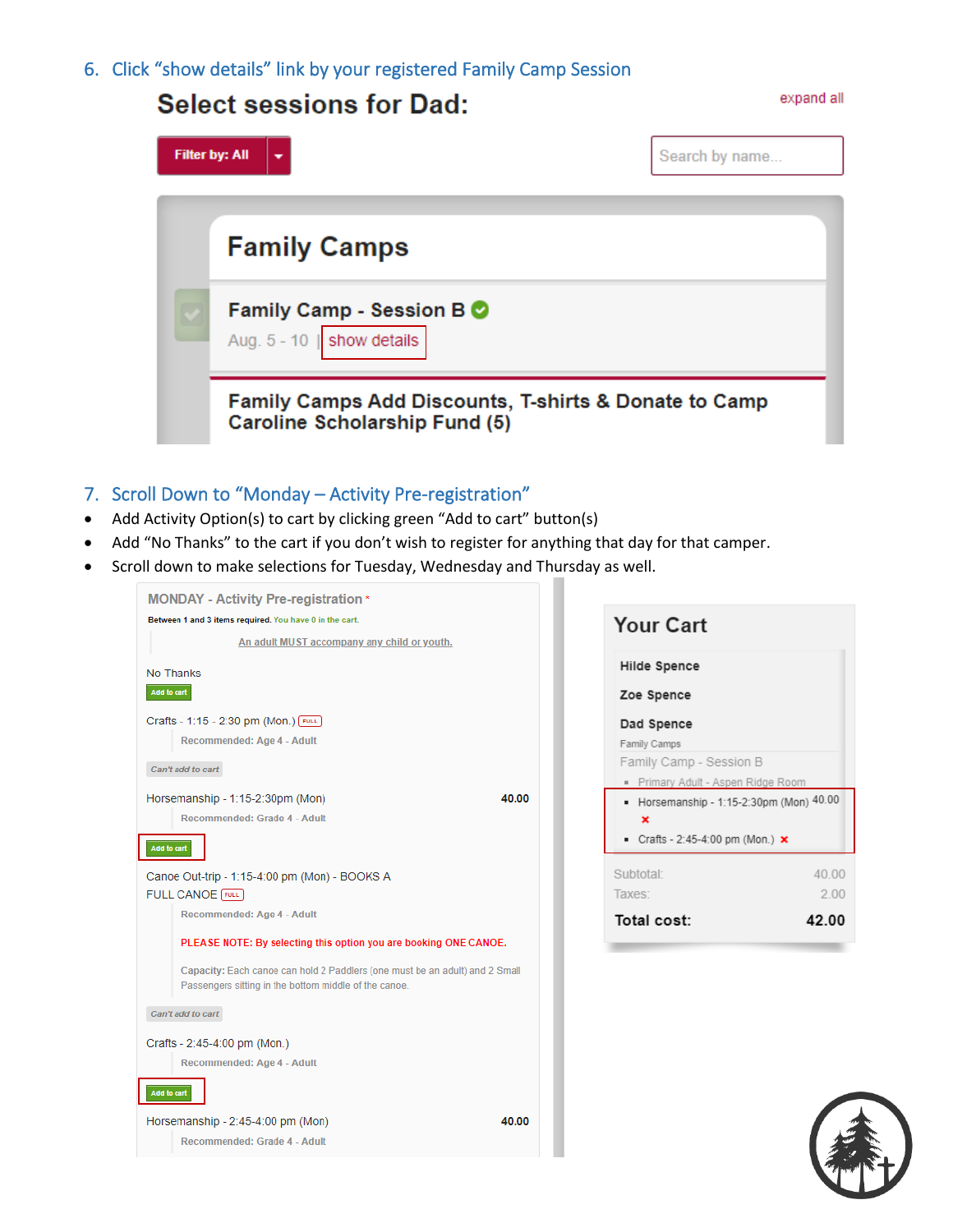6. Click "show details" link by your registered Family Camp Session

## **Filter by: All** Search by name... **Family Camps** Family Camp - Session B O show details Aug.  $5 - 10$ Family Camps Add Discounts, T-shirts & Donate to Camp Caroline Scholarship Fund (5)

### 7. Scroll Down to "Monday – Activity Pre-registration"

- Add Activity Option(s) to cart by clicking green "Add to cart" button(s)
- Add "No Thanks" to the cart if you don't wish to register for anything that day for that camper.
- Scroll down to make selections for Tuesday, Wednesday and Thursday as well.







expand all

### **Select sessions for Dad:**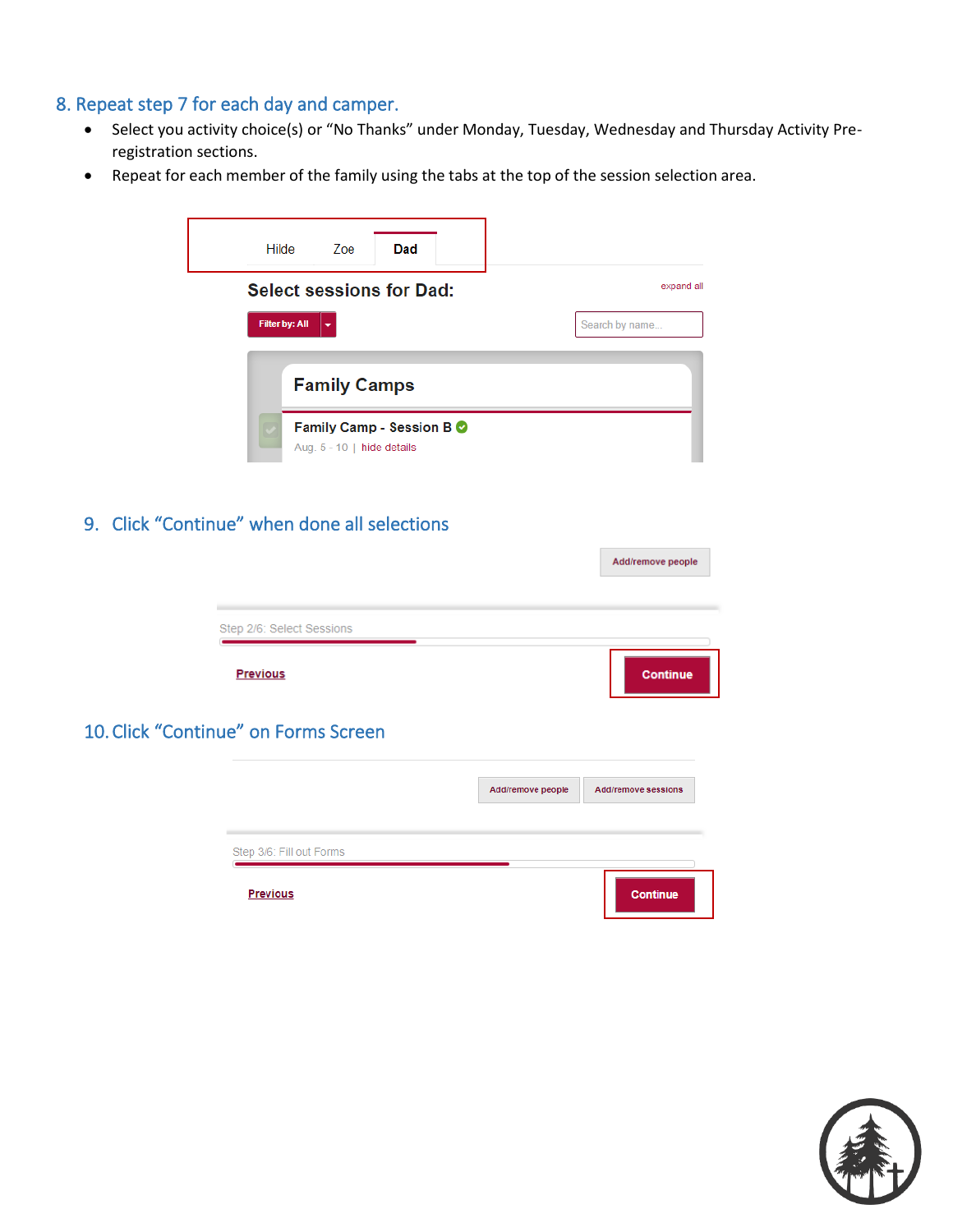### 8. Repeat step 7 for each day and camper.

- Select you activity choice(s) or "No Thanks" under Monday, Tuesday, Wednesday and Thursday Activity Preregistration sections.
- Repeat for each member of the family using the tabs at the top of the session selection area.

| Hilde | Zoe                                                                                  | Dad                      |                              |
|-------|--------------------------------------------------------------------------------------|--------------------------|------------------------------|
|       | <b>Select sessions for Dad:</b><br><b>Filter by: All</b><br>$\overline{\phantom{a}}$ |                          | expand all<br>Search by name |
|       | <b>Family Camps</b>                                                                  |                          |                              |
|       | Aug. $5 - 10$   hide details                                                         | Family Camp - Session BO |                              |

### 9. Click "Continue" when done all selections

|                                      |                   | Add/remove people          |
|--------------------------------------|-------------------|----------------------------|
|                                      |                   |                            |
| Step 2/6: Select Sessions            |                   |                            |
| <b>Previous</b>                      |                   | <b>Continue</b>            |
| 10. Click "Continue" on Forms Screen |                   |                            |
|                                      | Add/remove people | <b>Add/remove sessions</b> |
|                                      |                   |                            |